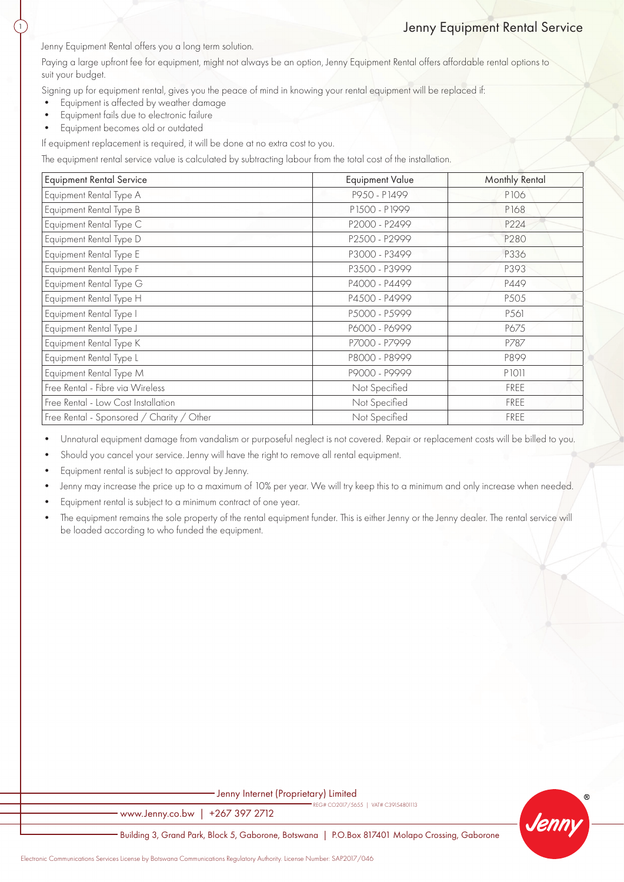## Jenny Equipment Rental Service

Jenny Equipment Rental offers you a long term solution.

Paying a large upfront fee for equipment, might not always be an option, Jenny Equipment Rental offers affordable rental options to suit your budget.

Signing up for equipment rental, gives you the peace of mind in knowing your rental equipment will be replaced if:

- Equipment is affected by weather damage
- Equipment fails due to electronic failure

1

• Equipment becomes old or outdated

If equipment replacement is required, it will be done at no extra cost to you.

The equipment rental service value is calculated by subtracting labour from the total cost of the installation.

| <b>Equipment Rental Service</b>           | <b>Equipment Value</b> | Monthly Rental   |
|-------------------------------------------|------------------------|------------------|
| Equipment Rental Type A                   | P950 - P1499           | P106             |
| Equipment Rental Type B                   | P1500 - P1999          | P168             |
| Equipment Rental Type C                   | P2000 - P2499          | P224             |
| Equipment Rental Type D                   | P2500 - P2999          | P280             |
| Equipment Rental Type E                   | P3000 - P3499          | P336             |
| Equipment Rental Type F                   | P3500 - P3999          | P393             |
| Equipment Rental Type G                   | P4000 - P4499          | P449             |
| Equipment Rental Type H                   | P4500 - P4999          | P <sub>505</sub> |
| Equipment Rental Type I                   | P5000 - P5999          | P561             |
| Equipment Rental Type J                   | P6000 - P6999          | P675             |
| Equipment Rental Type K                   | P7000 - P7999          | P787             |
| Equipment Rental Type L                   | P8000 - P8999          | P899             |
| Equipment Rental Type M                   | P9000 - P9999          | P1011            |
| Free Rental - Fibre via Wireless          | Not Specified          | FREE             |
| Free Rental - Low Cost Installation       | Not Specified          | FREE             |
| Free Rental - Sponsored / Charity / Other | Not Specified          | FREE             |

• Unnatural equipment damage from vandalism or purposeful neglect is not covered. Repair or replacement costs will be billed to you.

- Should you cancel your service. Jenny will have the right to remove all rental equipment.
- Equipment rental is subject to approval by Jenny.
- Jenny may increase the price up to a maximum of 10% per year. We will try keep this to a minimum and only increase when needed.
- Equipment rental is subject to a minimum contract of one year.
- The equipment remains the sole property of the rental equipment funder. This is either Jenny or the Jenny dealer. The rental service will be loaded according to who funded the equipment.

| Jenny Internet (Proprietary) Limited                                                           |         |
|------------------------------------------------------------------------------------------------|---------|
| REG# CO2017/5655   VAT# C39154801113<br>www.Jenny.co.bw   +267 397 2712                        | ®       |
| Building 3, Grand Park, Block 5, Gaborone, Botswana   P.O.Box 817401 Molapo Crossing, Gaborone | Jenny - |